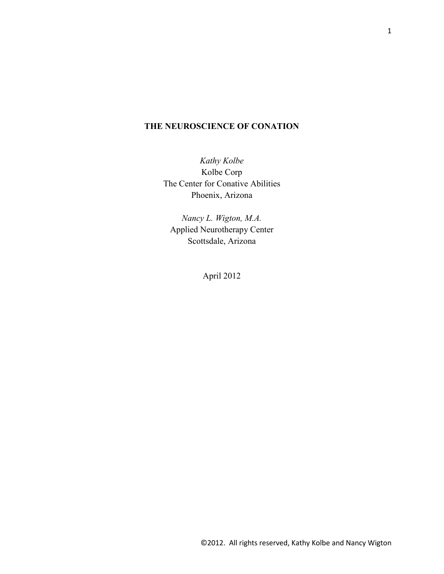# **THE NEUROSCIENCE OF CONATION**

*Kathy Kolbe*  Kolbe Corp The Center for Conative Abilities Phoenix, Arizona

*Nancy L. Wigton, M.A.*  Applied Neurotherapy Center Scottsdale, Arizona

April 2012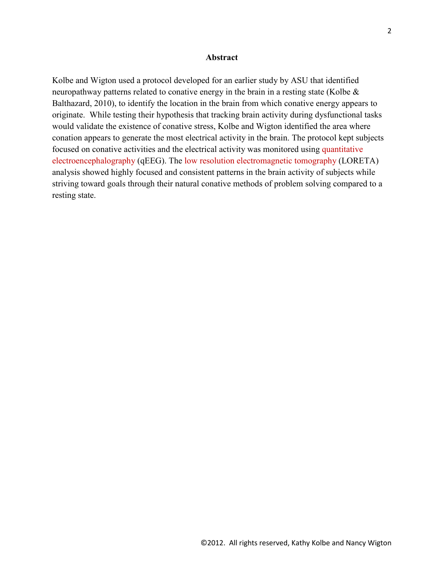#### **Abstract**

Kolbe and Wigton used a protocol developed for an earlier study by ASU that identified neuropathway patterns related to conative energy in the brain in a resting state (Kolbe & Balthazard, 2010), to identify the location in the brain from which conative energy appears to originate. While testing their hypothesis that tracking brain activity during dysfunctional tasks would validate the existence of conative stress, Kolbe and Wigton identified the area where conation appears to generate the most electrical activity in the brain. The protocol kept subjects focused on conative activities and the electrical activity was monitored using quantitative electroencephalography (qEEG). The low resolution electromagnetic tomography (LORETA) analysis showed highly focused and consistent patterns in the brain activity of subjects while striving toward goals through their natural conative methods of problem solving compared to a resting state.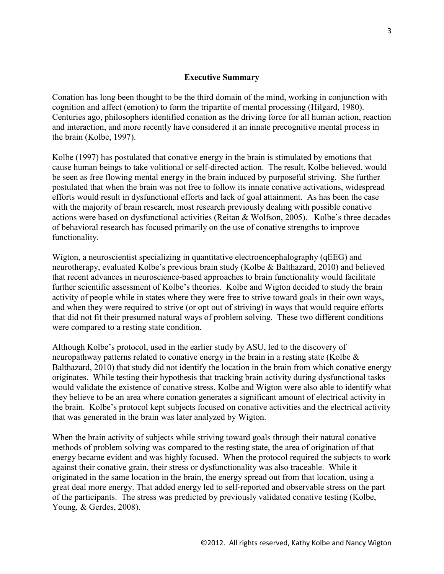# **Executive Summary**

Conation has long been thought to be the third domain of the mind, working in conjunction with cognition and affect (emotion) to form the tripartite of mental processing (Hilgard, 1980). Centuries ago, philosophers identified conation as the driving force for all human action, reaction and interaction, and more recently have considered it an innate precognitive mental process in the brain (Kolbe, 1997).

Kolbe (1997) has postulated that conative energy in the brain is stimulated by emotions that cause human beings to take volitional or self-directed action. The result, Kolbe believed, would be seen as free flowing mental energy in the brain induced by purposeful striving. She further postulated that when the brain was not free to follow its innate conative activations, widespread efforts would result in dysfunctional efforts and lack of goal attainment. As has been the case with the majority of brain research, most research previously dealing with possible conative actions were based on dysfunctional activities (Reitan & Wolfson, 2005). Kolbe's three decades of behavioral research has focused primarily on the use of conative strengths to improve functionality.

Wigton, a neuroscientist specializing in quantitative electroencephalography (qEEG) and neurotherapy, evaluated Kolbe's previous brain study (Kolbe & Balthazard, 2010) and believed that recent advances in neuroscience-based approaches to brain functionality would facilitate further scientific assessment of Kolbe's theories. Kolbe and Wigton decided to study the brain activity of people while in states where they were free to strive toward goals in their own ways, and when they were required to strive (or opt out of striving) in ways that would require efforts that did not fit their presumed natural ways of problem solving. These two different conditions were compared to a resting state condition.

Although Kolbe's protocol, used in the earlier study by ASU, led to the discovery of neuropathway patterns related to conative energy in the brain in a resting state (Kolbe & Balthazard, 2010) that study did not identify the location in the brain from which conative energy originates. While testing their hypothesis that tracking brain activity during dysfunctional tasks would validate the existence of conative stress, Kolbe and Wigton were also able to identify what they believe to be an area where conation generates a significant amount of electrical activity in the brain. Kolbe's protocol kept subjects focused on conative activities and the electrical activity that was generated in the brain was later analyzed by Wigton.

When the brain activity of subjects while striving toward goals through their natural conative methods of problem solving was compared to the resting state, the area of origination of that energy became evident and was highly focused. When the protocol required the subjects to work against their conative grain, their stress or dysfunctionality was also traceable. While it originated in the same location in the brain, the energy spread out from that location, using a great deal more energy. That added energy led to self-reported and observable stress on the part of the participants. The stress was predicted by previously validated conative testing (Kolbe, Young, & Gerdes, 2008).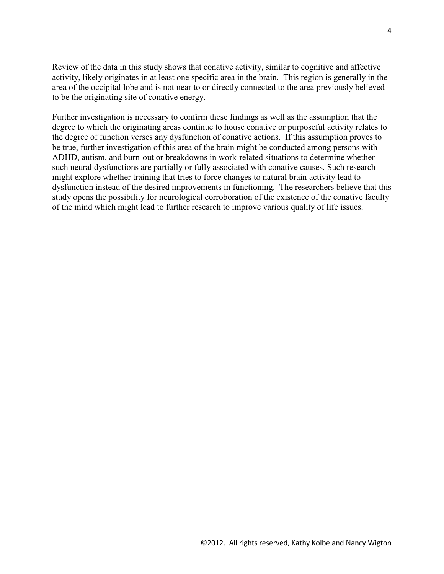Review of the data in this study shows that conative activity, similar to cognitive and affective activity, likely originates in at least one specific area in the brain. This region is generally in the area of the occipital lobe and is not near to or directly connected to the area previously believed to be the originating site of conative energy.

Further investigation is necessary to confirm these findings as well as the assumption that the degree to which the originating areas continue to house conative or purposeful activity relates to the degree of function verses any dysfunction of conative actions. If this assumption proves to be true, further investigation of this area of the brain might be conducted among persons with ADHD, autism, and burn-out or breakdowns in work-related situations to determine whether such neural dysfunctions are partially or fully associated with conative causes. Such research might explore whether training that tries to force changes to natural brain activity lead to dysfunction instead of the desired improvements in functioning. The researchers believe that this study opens the possibility for neurological corroboration of the existence of the conative faculty of the mind which might lead to further research to improve various quality of life issues.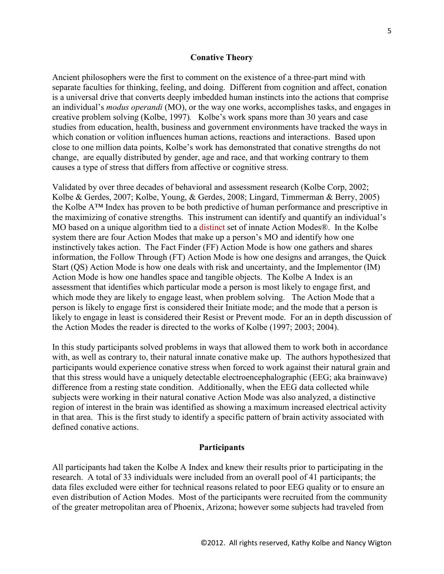#### **Conative Theory**

Ancient philosophers were the first to comment on the existence of a three-part mind with separate faculties for thinking, feeling, and doing. Different from cognition and affect, conation is a universal drive that converts deeply imbedded human instincts into the actions that comprise an individual's *modus operandi* (MO), or the way one works, accomplishes tasks, and engages in creative problem solving (Kolbe, 1997)*.* Kolbe's work spans more than 30 years and case studies from education, health, business and government environments have tracked the ways in which conation or volition influences human actions, reactions and interactions. Based upon close to one million data points, Kolbe's work has demonstrated that conative strengths do not change, are equally distributed by gender, age and race, and that working contrary to them causes a type of stress that differs from affective or cognitive stress.

Validated by over three decades of behavioral and assessment research (Kolbe Corp, 2002; Kolbe & Gerdes, 2007; Kolbe, Young, & Gerdes, 2008; Lingard, Timmerman & Berry, 2005) the Kolbe A™ Index has proven to be both predictive of human performance and prescriptive in the maximizing of conative strengths. This instrument can identify and quantify an individual's MO based on a unique algorithm tied to a distinct set of innate Action Modes®. In the Kolbe system there are four Action Modes that make up a person's MO and identify how one instinctively takes action. The Fact Finder (FF) Action Mode is how one gathers and shares information, the Follow Through (FT) Action Mode is how one designs and arranges, the Quick Start (QS) Action Mode is how one deals with risk and uncertainty, and the Implementor (IM) Action Mode is how one handles space and tangible objects. The Kolbe A Index is an assessment that identifies which particular mode a person is most likely to engage first, and which mode they are likely to engage least, when problem solving. The Action Mode that a person is likely to engage first is considered their Initiate mode; and the mode that a person is likely to engage in least is considered their Resist or Prevent mode. For an in depth discussion of the Action Modes the reader is directed to the works of Kolbe (1997; 2003; 2004).

In this study participants solved problems in ways that allowed them to work both in accordance with, as well as contrary to, their natural innate conative make up. The authors hypothesized that participants would experience conative stress when forced to work against their natural grain and that this stress would have a uniquely detectable electroencephalographic (EEG; aka brainwave) difference from a resting state condition. Additionally, when the EEG data collected while subjects were working in their natural conative Action Mode was also analyzed, a distinctive region of interest in the brain was identified as showing a maximum increased electrical activity in that area. This is the first study to identify a specific pattern of brain activity associated with defined conative actions.

# **Participants**

All participants had taken the Kolbe A Index and knew their results prior to participating in the research. A total of 33 individuals were included from an overall pool of 41 participants; the data files excluded were either for technical reasons related to poor EEG quality or to ensure an even distribution of Action Modes. Most of the participants were recruited from the community of the greater metropolitan area of Phoenix, Arizona; however some subjects had traveled from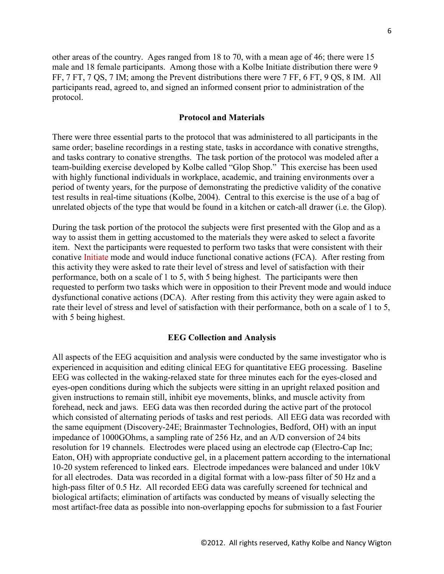other areas of the country. Ages ranged from 18 to 70, with a mean age of 46; there were 15 male and 18 female participants. Among those with a Kolbe Initiate distribution there were 9 FF, 7 FT, 7 QS, 7 IM; among the Prevent distributions there were 7 FF, 6 FT, 9 QS, 8 IM. All participants read, agreed to, and signed an informed consent prior to administration of the protocol.

# **Protocol and Materials**

There were three essential parts to the protocol that was administered to all participants in the same order; baseline recordings in a resting state, tasks in accordance with conative strengths, and tasks contrary to conative strengths. The task portion of the protocol was modeled after a team-building exercise developed by Kolbe called "Glop Shop." This exercise has been used with highly functional individuals in workplace, academic, and training environments over a period of twenty years, for the purpose of demonstrating the predictive validity of the conative test results in real-time situations (Kolbe, 2004). Central to this exercise is the use of a bag of unrelated objects of the type that would be found in a kitchen or catch-all drawer (i.e. the Glop).

During the task portion of the protocol the subjects were first presented with the Glop and as a way to assist them in getting accustomed to the materials they were asked to select a favorite item. Next the participants were requested to perform two tasks that were consistent with their conative Initiate mode and would induce functional conative actions (FCA). After resting from this activity they were asked to rate their level of stress and level of satisfaction with their performance, both on a scale of 1 to 5, with 5 being highest. The participants were then requested to perform two tasks which were in opposition to their Prevent mode and would induce dysfunctional conative actions (DCA). After resting from this activity they were again asked to rate their level of stress and level of satisfaction with their performance, both on a scale of 1 to 5, with 5 being highest.

#### **EEG Collection and Analysis**

All aspects of the EEG acquisition and analysis were conducted by the same investigator who is experienced in acquisition and editing clinical EEG for quantitative EEG processing. Baseline EEG was collected in the waking-relaxed state for three minutes each for the eyes-closed and eyes-open conditions during which the subjects were sitting in an upright relaxed position and given instructions to remain still, inhibit eye movements, blinks, and muscle activity from forehead, neck and jaws. EEG data was then recorded during the active part of the protocol which consisted of alternating periods of tasks and rest periods. All EEG data was recorded with the same equipment (Discovery-24E; Brainmaster Technologies, Bedford, OH) with an input impedance of 1000GOhms, a sampling rate of 256 Hz, and an A/D conversion of 24 bits resolution for 19 channels. Electrodes were placed using an electrode cap (Electro-Cap Inc; Eaton, OH) with appropriate conductive gel, in a placement pattern according to the international 10-20 system referenced to linked ears. Electrode impedances were balanced and under 10kV for all electrodes. Data was recorded in a digital format with a low-pass filter of 50 Hz and a high-pass filter of 0.5 Hz. All recorded EEG data was carefully screened for technical and biological artifacts; elimination of artifacts was conducted by means of visually selecting the most artifact-free data as possible into non-overlapping epochs for submission to a fast Fourier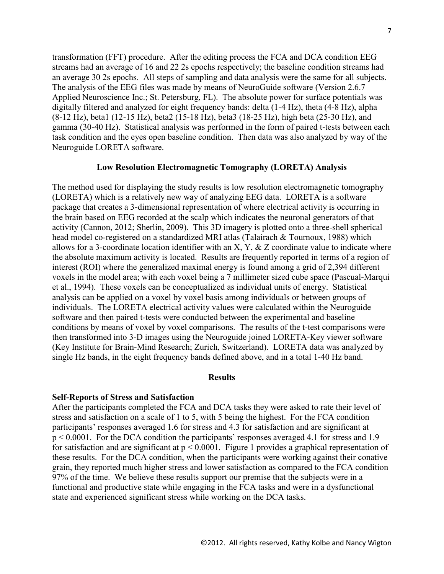transformation (FFT) procedure. After the editing process the FCA and DCA condition EEG streams had an average of 16 and 22 2s epochs respectively; the baseline condition streams had an average 30 2s epochs. All steps of sampling and data analysis were the same for all subjects. The analysis of the EEG files was made by means of NeuroGuide software (Version 2.6.7 Applied Neuroscience Inc.; St. Petersburg, FL). The absolute power for surface potentials was digitally filtered and analyzed for eight frequency bands: delta (1-4 Hz), theta (4-8 Hz), alpha (8-12 Hz), beta1 (12-15 Hz), beta2 (15-18 Hz), beta3 (18-25 Hz), high beta (25-30 Hz), and gamma (30-40 Hz). Statistical analysis was performed in the form of paired t-tests between each task condition and the eyes open baseline condition. Then data was also analyzed by way of the Neuroguide LORETA software.

# **Low Resolution Electromagnetic Tomography (LORETA) Analysis**

The method used for displaying the study results is low resolution electromagnetic tomography (LORETA) which is a relatively new way of analyzing EEG data. LORETA is a software package that creates a 3-dimensional representation of where electrical activity is occurring in the brain based on EEG recorded at the scalp which indicates the neuronal generators of that activity (Cannon, 2012; Sherlin, 2009). This 3D imagery is plotted onto a three-shell spherical head model co-registered on a standardized MRI atlas (Talairach & Tournoux, 1988) which allows for a 3-coordinate location identifier with an X, Y,  $\&$  Z coordinate value to indicate where the absolute maximum activity is located. Results are frequently reported in terms of a region of interest (ROI) where the generalized maximal energy is found among a grid of 2,394 different voxels in the model area; with each voxel being a 7 millimeter sized cube space (Pascual-Marqui et al., 1994). These voxels can be conceptualized as individual units of energy. Statistical analysis can be applied on a voxel by voxel basis among individuals or between groups of individuals. The LORETA electrical activity values were calculated within the Neuroguide software and then paired t-tests were conducted between the experimental and baseline conditions by means of voxel by voxel comparisons. The results of the t-test comparisons were then transformed into 3-D images using the Neuroguide joined LORETA-Key viewer software (Key Institute for Brain-Mind Research; Zurich, Switzerland). LORETA data was analyzed by single Hz bands, in the eight frequency bands defined above, and in a total 1-40 Hz band.

# **Results**

#### **Self-Reports of Stress and Satisfaction**

After the participants completed the FCA and DCA tasks they were asked to rate their level of stress and satisfaction on a scale of 1 to 5, with 5 being the highest. For the FCA condition participants' responses averaged 1.6 for stress and 4.3 for satisfaction and are significant at p < 0.0001. For the DCA condition the participants' responses averaged 4.1 for stress and 1.9 for satisfaction and are significant at  $p < 0.0001$ . Figure 1 provides a graphical representation of these results. For the DCA condition, when the participants were working against their conative grain, they reported much higher stress and lower satisfaction as compared to the FCA condition 97% of the time. We believe these results support our premise that the subjects were in a functional and productive state while engaging in the FCA tasks and were in a dysfunctional state and experienced significant stress while working on the DCA tasks.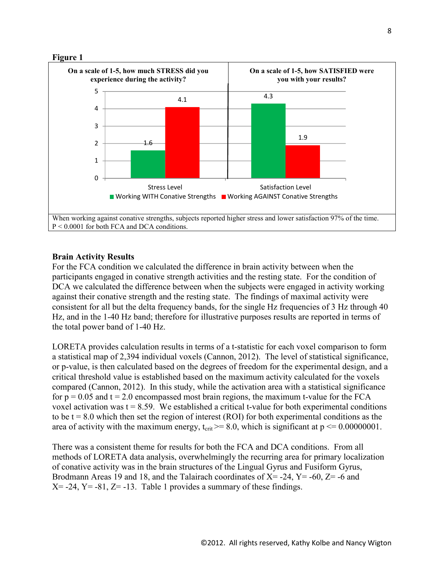

# **Brain Activity Results**

For the FCA condition we calculated the difference in brain activity between when the participants engaged in conative strength activities and the resting state. For the condition of DCA we calculated the difference between when the subjects were engaged in activity working against their conative strength and the resting state. The findings of maximal activity were consistent for all but the delta frequency bands, for the single Hz frequencies of 3 Hz through 40 Hz, and in the 1-40 Hz band; therefore for illustrative purposes results are reported in terms of the total power band of 1-40 Hz.

LORETA provides calculation results in terms of a t-statistic for each voxel comparison to form a statistical map of 2,394 individual voxels (Cannon, 2012). The level of statistical significance, or p-value, is then calculated based on the degrees of freedom for the experimental design, and a critical threshold value is established based on the maximum activity calculated for the voxels compared (Cannon, 2012). In this study, while the activation area with a statistical significance for  $p = 0.05$  and  $t = 2.0$  encompassed most brain regions, the maximum t-value for the FCA voxel activation was  $t = 8.59$ . We established a critical t-value for both experimental conditions to be  $t = 8.0$  which then set the region of interest (ROI) for both experimental conditions as the area of activity with the maximum energy,  $t_{crit} \geq 8.0$ , which is significant at  $p \leq 0.00000001$ .

There was a consistent theme for results for both the FCA and DCA conditions. From all methods of LORETA data analysis, overwhelmingly the recurring area for primary localization of conative activity was in the brain structures of the Lingual Gyrus and Fusiform Gyrus, Brodmann Areas 19 and 18, and the Talairach coordinates of  $X = -24$ ,  $Y = -60$ ,  $Z = -6$  and  $X = -24$ ,  $Y = -81$ ,  $Z = -13$ . Table 1 provides a summary of these findings.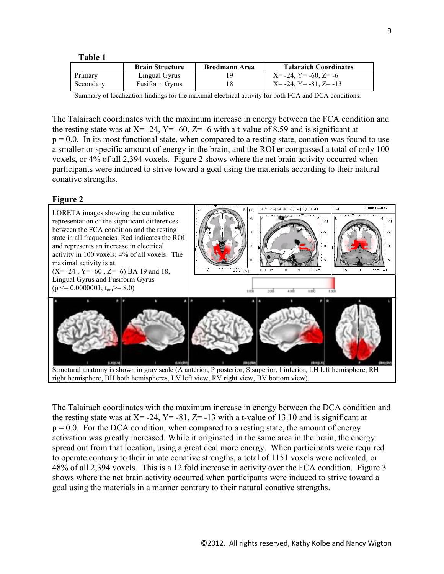#### **Table 1**

|           | <b>Brain Structure</b> | <b>Brodmann Area</b> | <b>Talaraich Coordinates</b>      |
|-----------|------------------------|----------------------|-----------------------------------|
| Primary   | Lingual Gyrus          |                      | $X = -24$ , $Y = -60$ , $Z = -6$  |
| Secondary | <b>Fusiform Gyrus</b>  |                      | $X = -24$ , $Y = -81$ , $Z = -13$ |

Summary of localization findings for the maximal electrical activity for both FCA and DCA conditions.

The Talairach coordinates with the maximum increase in energy between the FCA condition and the resting state was at  $X = -24$ ,  $Y = -60$ ,  $Z = -6$  with a t-value of 8.59 and is significant at  $p = 0.0$ . In its most functional state, when compared to a resting state, conation was found to use a smaller or specific amount of energy in the brain, and the ROI encompassed a total of only 100 voxels, or 4% of all 2,394 voxels. Figure 2 shows where the net brain activity occurred when participants were induced to strive toward a goal using the materials according to their natural conative strengths.

## **Figure 2**



Structural anatomy is shown in gray scale (A anterior, P posterior, S superior, I inferior, LH left hemisphere, RH right hemisphere, BH both hemispheres, LV left view, RV right view, BV bottom view).

The Talairach coordinates with the maximum increase in energy between the DCA condition and the resting state was at  $X = -24$ ,  $Y = -81$ ,  $Z = -13$  with a t-value of 13.10 and is significant at  $p = 0.0$ . For the DCA condition, when compared to a resting state, the amount of energy activation was greatly increased. While it originated in the same area in the brain, the energy spread out from that location, using a great deal more energy. When participants were required to operate contrary to their innate conative strengths, a total of 1151 voxels were activated, or 48% of all 2,394 voxels. This is a 12 fold increase in activity over the FCA condition. Figure 3 shows where the net brain activity occurred when participants were induced to strive toward a goal using the materials in a manner contrary to their natural conative strengths.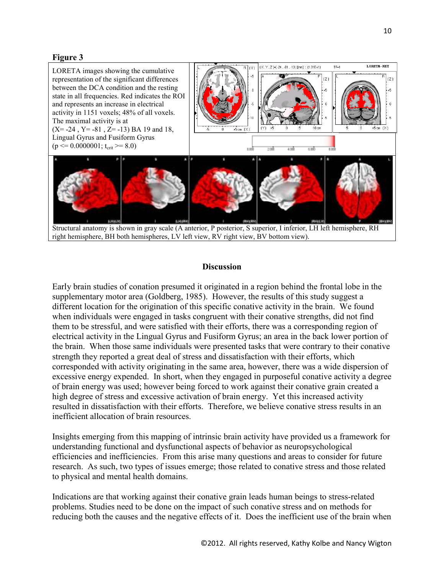# **Figure 3**



## **Discussion**

Early brain studies of conation presumed it originated in a region behind the frontal lobe in the supplementary motor area (Goldberg, 1985). However, the results of this study suggest a different location for the origination of this specific conative activity in the brain. We found when individuals were engaged in tasks congruent with their conative strengths, did not find them to be stressful, and were satisfied with their efforts, there was a corresponding region of electrical activity in the Lingual Gyrus and Fusiform Gyrus; an area in the back lower portion of the brain. When those same individuals were presented tasks that were contrary to their conative strength they reported a great deal of stress and dissatisfaction with their efforts, which corresponded with activity originating in the same area, however, there was a wide dispersion of excessive energy expended. In short, when they engaged in purposeful conative activity a degree of brain energy was used; however being forced to work against their conative grain created a high degree of stress and excessive activation of brain energy. Yet this increased activity resulted in dissatisfaction with their efforts. Therefore, we believe conative stress results in an inefficient allocation of brain resources.

Insights emerging from this mapping of intrinsic brain activity have provided us a framework for understanding functional and dysfunctional aspects of behavior as neuropsychological efficiencies and inefficiencies. From this arise many questions and areas to consider for future research. As such, two types of issues emerge; those related to conative stress and those related to physical and mental health domains.

Indications are that working against their conative grain leads human beings to stress-related problems. Studies need to be done on the impact of such conative stress and on methods for reducing both the causes and the negative effects of it. Does the inefficient use of the brain when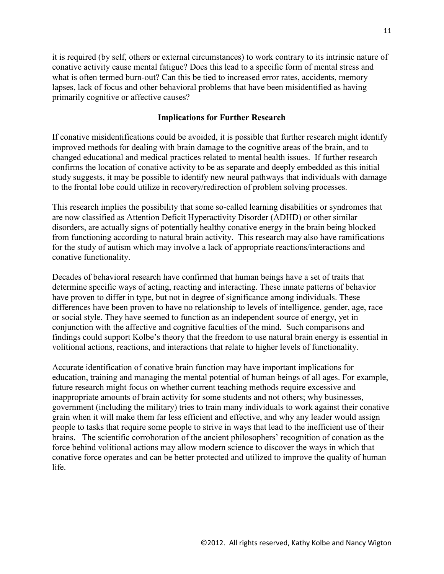it is required (by self, others or external circumstances) to work contrary to its intrinsic nature of conative activity cause mental fatigue? Does this lead to a specific form of mental stress and what is often termed burn-out? Can this be tied to increased error rates, accidents, memory lapses, lack of focus and other behavioral problems that have been misidentified as having primarily cognitive or affective causes?

## **Implications for Further Research**

If conative misidentifications could be avoided, it is possible that further research might identify improved methods for dealing with brain damage to the cognitive areas of the brain, and to changed educational and medical practices related to mental health issues. If further research confirms the location of conative activity to be as separate and deeply embedded as this initial study suggests, it may be possible to identify new neural pathways that individuals with damage to the frontal lobe could utilize in recovery/redirection of problem solving processes.

This research implies the possibility that some so-called learning disabilities or syndromes that are now classified as Attention Deficit Hyperactivity Disorder (ADHD) or other similar disorders, are actually signs of potentially healthy conative energy in the brain being blocked from functioning according to natural brain activity. This research may also have ramifications for the study of autism which may involve a lack of appropriate reactions/interactions and conative functionality.

Decades of behavioral research have confirmed that human beings have a set of traits that determine specific ways of acting, reacting and interacting. These innate patterns of behavior have proven to differ in type, but not in degree of significance among individuals. These differences have been proven to have no relationship to levels of intelligence, gender, age, race or social style. They have seemed to function as an independent source of energy, yet in conjunction with the affective and cognitive faculties of the mind. Such comparisons and findings could support Kolbe's theory that the freedom to use natural brain energy is essential in volitional actions, reactions, and interactions that relate to higher levels of functionality.

Accurate identification of conative brain function may have important implications for education, training and managing the mental potential of human beings of all ages. For example, future research might focus on whether current teaching methods require excessive and inappropriate amounts of brain activity for some students and not others; why businesses, government (including the military) tries to train many individuals to work against their conative grain when it will make them far less efficient and effective, and why any leader would assign people to tasks that require some people to strive in ways that lead to the inefficient use of their brains. The scientific corroboration of the ancient philosophers' recognition of conation as the force behind volitional actions may allow modern science to discover the ways in which that conative force operates and can be better protected and utilized to improve the quality of human life.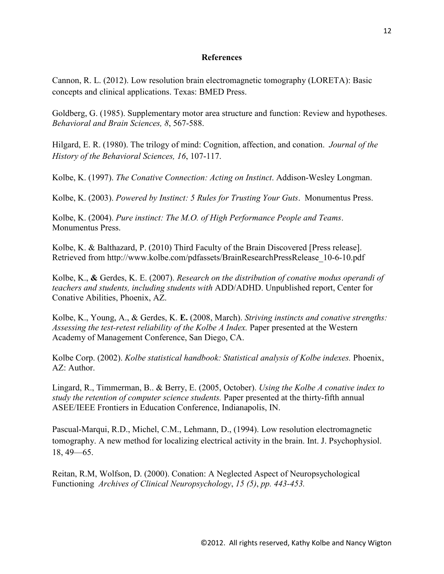# **References**

Cannon, R. L. (2012). Low resolution brain electromagnetic tomography (LORETA): Basic concepts and clinical applications. Texas: BMED Press.

Goldberg, G. (1985). Supplementary motor area structure and function: Review and hypotheses. *Behavioral and Brain Sciences, 8*, 567-588.

Hilgard, E. R. (1980). The trilogy of mind: Cognition, affection, and conation. *Journal of the History of the Behavioral Sciences, 16*, 107-117.

Kolbe, K. (1997). *The Conative Connection: Acting on Instinct*. Addison-Wesley Longman.

Kolbe, K. (2003). *Powered by Instinct: 5 Rules for Trusting Your Guts*. Monumentus Press.

Kolbe, K. (2004). *Pure instinct: The M.O. of High Performance People and Teams*. Monumentus Press.

Kolbe, K. & Balthazard, P. (2010) Third Faculty of the Brain Discovered [Press release]. Retrieved from http://www.kolbe.com/pdfassets/BrainResearchPressRelease\_10-6-10.pdf

Kolbe, K., **&** Gerdes, K. E. (2007). *Research on the distribution of conative modus operandi of teachers and students, including students with* ADD/ADHD. Unpublished report, Center for Conative Abilities, Phoenix, AZ.

Kolbe, K., Young, A., & Gerdes, K. **E.** (2008, March). *Striving instincts and conative strengths: Assessing the test-retest reliability of the Kolbe A Index.* Paper presented at the Western Academy of Management Conference, San Diego, CA.

Kolbe Corp. (2002). *Kolbe statistical handbook: Statistical analysis of Kolbe indexes.* Phoenix, AZ: Author.

Lingard, R., Timmerman, B.. & Berry, E. (2005, October). *Using the Kolbe A conative index to study the retention of computer science students.* Paper presented at the thirty-fifth annual ASEE/IEEE Frontiers in Education Conference, Indianapolis, IN.

Pascual-Marqui, R.D., Michel, C.M., Lehmann, D., (1994). Low resolution electromagnetic tomography. A new method for localizing electrical activity in the brain. Int. J. Psychophysiol. 18, 49—65.

Reitan, R.M, Wolfson, D. (2000). Conation: A Neglected Aspect of Neuropsychological Functioning *Archives of Clinical Neuropsychology*, *15 (5)*, *pp. 443-453.*